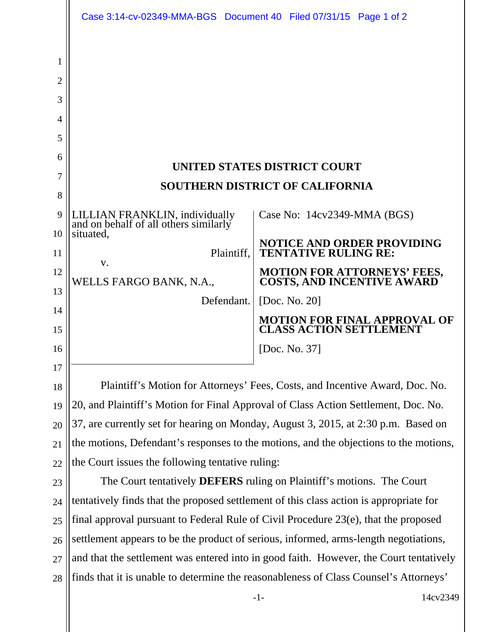|                | Case 3:14-cv-02349-MMA-BGS Document 40 Filed 07/31/15 Page 1 of 2                      |                                                                       |
|----------------|----------------------------------------------------------------------------------------|-----------------------------------------------------------------------|
|                |                                                                                        |                                                                       |
| 1              |                                                                                        |                                                                       |
| $\overline{2}$ |                                                                                        |                                                                       |
| 3              |                                                                                        |                                                                       |
| 4              |                                                                                        |                                                                       |
| 5              |                                                                                        |                                                                       |
| 6              |                                                                                        |                                                                       |
| 7              | UNITED STATES DISTRICT COURT<br><b>SOUTHERN DISTRICT OF CALIFORNIA</b>                 |                                                                       |
| 8              |                                                                                        |                                                                       |
| 9              | LILLIAN FRANKLIN, individually<br>and on behalf of all others similarly                | Case No: 14cv2349-MMA (BGS)                                           |
| 10             | situated,                                                                              | NOTICE AND ORDER PROVIDING                                            |
| 11             | Plaintiff.<br>V.                                                                       | <b>TENTATIVE RULING RE:</b>                                           |
| 12             | WELLS FARGO BANK, N.A.,                                                                | <b>MOTION FOR ATTORNEYS' FEES,<br/>COSTS, AND INCENTIVE AWARD</b>     |
| 13             | Defendant.                                                                             | [Doc. No. 20]                                                         |
| 14<br>15       |                                                                                        | <b>MOTION FOR FINAL APPROVAL OF</b><br><b>CLASS ACTION SETTLEMENT</b> |
| 16             |                                                                                        | [Doc. No. 37]                                                         |
| 17             |                                                                                        |                                                                       |
| 18             | Plaintiff's Motion for Attorneys' Fees, Costs, and Incentive Award, Doc. No.           |                                                                       |
| 19             | 20, and Plaintiff's Motion for Final Approval of Class Action Settlement, Doc. No.     |                                                                       |
| 20             | 37, are currently set for hearing on Monday, August 3, 2015, at 2:30 p.m. Based on     |                                                                       |
| 21             | the motions, Defendant's responses to the motions, and the objections to the motions,  |                                                                       |
| 22             | the Court issues the following tentative ruling:                                       |                                                                       |
| 23             | The Court tentatively <b>DEFERS</b> ruling on Plaintiff's motions. The Court           |                                                                       |
| 24             | tentatively finds that the proposed settlement of this class action is appropriate for |                                                                       |
| 25             | final approval pursuant to Federal Rule of Civil Procedure 23(e), that the proposed    |                                                                       |
| 26             | settlement appears to be the product of serious, informed, arms-length negotiations,   |                                                                       |
| 27             | and that the settlement was entered into in good faith. However, the Court tentatively |                                                                       |
| 28             | finds that it is unable to determine the reasonableness of Class Counsel's Attorneys'  |                                                                       |